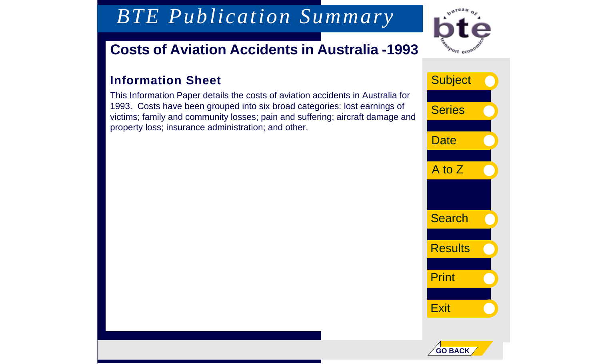*BTE Publication Summary*

## **Costs of Aviation Accidents in Australia -1993**

### **Information Sheet**

This Information Paper details the costs of aviation accidents in Australia for 1993. Costs have been grouped into six broad categories: lost earnings of victims; family and community losses; pain and suffering; aircraft damage and property loss; insurance administration; and other.



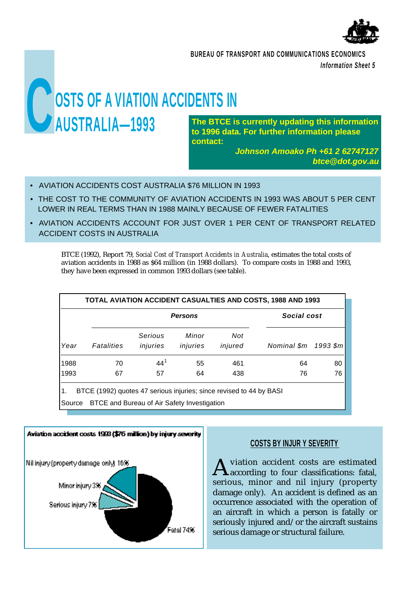

**BUREAU OF TRANSPORT AND COMMUNICATIONS ECONOMICS** *Information Sheet 5*

# **COSTS OF A VIATION ACCIDENTS IN**<br> **CONSTRALIA—1993 AUSTRALIA-1993** The BTCE is currently updating this information

**to 1996 data. For further information please contact:** 

> *Johnson Amoako Ph +61 2 62747127 btce@dot.gov.au*

- AVIATION ACCIDENTS COST AUSTRALIA \$76 MILLION IN 1993
- THE COST TO THE COMMUNITY OF AVIATION ACCIDENTS IN 1993 WAS ABOUT 5 PER CENT LOWER IN REAL TERMS THAN IN 1988 MAINLY BECAUSE OF FEWER FATALITIES
- AVIATION ACCIDENTS ACCOUNT FOR JUST OVER 1 PER CENT OF TRANSPORT RELATED ACCIDENT COSTS IN AUSTRALIA

BTCE (1992), Report 79, *Social Cost of Transport Accidents in Australia*, estimates the total costs of aviation accidents in 1988 as \$64 million (in 1988 dollars). To compare costs in 1988 and 1993, they have been expressed in common 1993 dollars (see table).

| Year | <b>Persons</b> |                     |                   |                | Social cost |          |
|------|----------------|---------------------|-------------------|----------------|-------------|----------|
|      | Fatalities     | Serious<br>injuries | Minor<br>injuries | Not<br>injured | Nominal \$m | 1993 \$m |
| 1988 | 70             | $44^{1}$            | 55                | 461            | 64          | 80       |
| 1993 | 67             | 57                  | 64                | 438            | 76          | 76       |

Source BTCE and Bureau of Air Safety Investigation



#### **COSTS BY INJUR Y SEVERITY**

A viation accident costs are estimated<br>according to four classifications: fatal, viation accident costs are estimated serious, minor and nil injury (property damage only). An accident is defined as an occurrence associated with the operation of an aircraft in which a person is fatally or seriously injured and/or the aircraft sustains serious damage or structural failure.